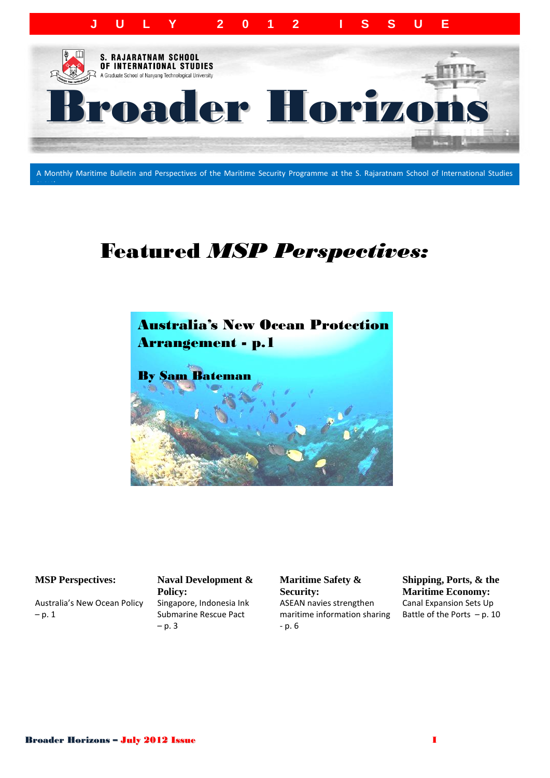

A Monthly Maritime Bulletin and Perspectives of the Maritime Security Programme at the S. Rajaratnam School of International Studies

## Featured *MSP Perspectives:*



#### **MSP Perspectives: Naval Development &**

(**RSIS)**

Australia's New Ocean Policy  $- p. 1$ 

**Policy:** Singapore, Indonesia Ink Submarine Rescue Pact  $- p. 3$ 

**Maritime Safety & Security:** ASEAN navies strengthen maritime information sharing - p. 6

**Shipping, Ports, & the Maritime Economy:** Canal Expansion Sets Up Battle of the Ports  $- p. 10$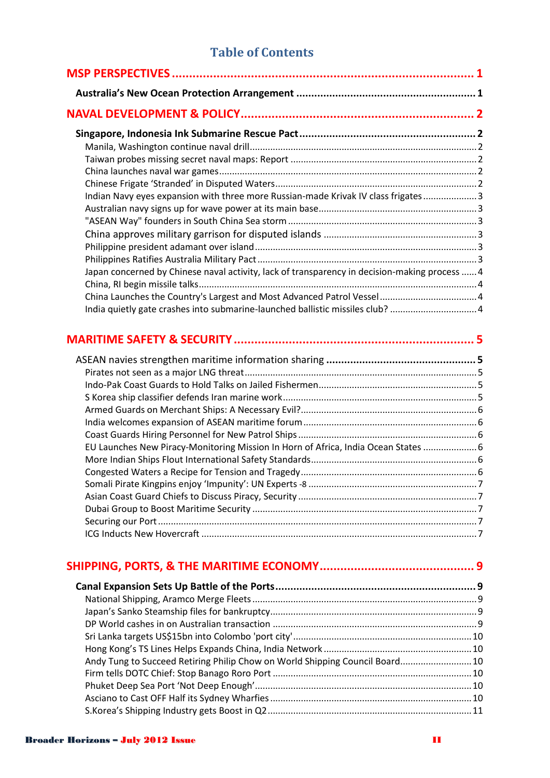### **Table of Contents**

| Indian Navy eyes expansion with three more Russian-made Krivak IV class frigates 3            |  |
|-----------------------------------------------------------------------------------------------|--|
|                                                                                               |  |
|                                                                                               |  |
|                                                                                               |  |
|                                                                                               |  |
|                                                                                               |  |
| Japan concerned by Chinese naval activity, lack of transparency in decision-making process  4 |  |
|                                                                                               |  |
|                                                                                               |  |
| India quietly gate crashes into submarine-launched ballistic missiles club? 4                 |  |
|                                                                                               |  |
|                                                                                               |  |
|                                                                                               |  |
|                                                                                               |  |
|                                                                                               |  |
|                                                                                               |  |
|                                                                                               |  |
|                                                                                               |  |
|                                                                                               |  |
| EU Launches New Piracy-Monitoring Mission In Horn of Africa, India Ocean States  6            |  |
|                                                                                               |  |
|                                                                                               |  |
|                                                                                               |  |
|                                                                                               |  |
|                                                                                               |  |
|                                                                                               |  |
|                                                                                               |  |

| Andy Tung to Succeed Retiring Philip Chow on World Shipping Council Board 10 |  |
|------------------------------------------------------------------------------|--|
|                                                                              |  |
|                                                                              |  |
|                                                                              |  |
|                                                                              |  |
|                                                                              |  |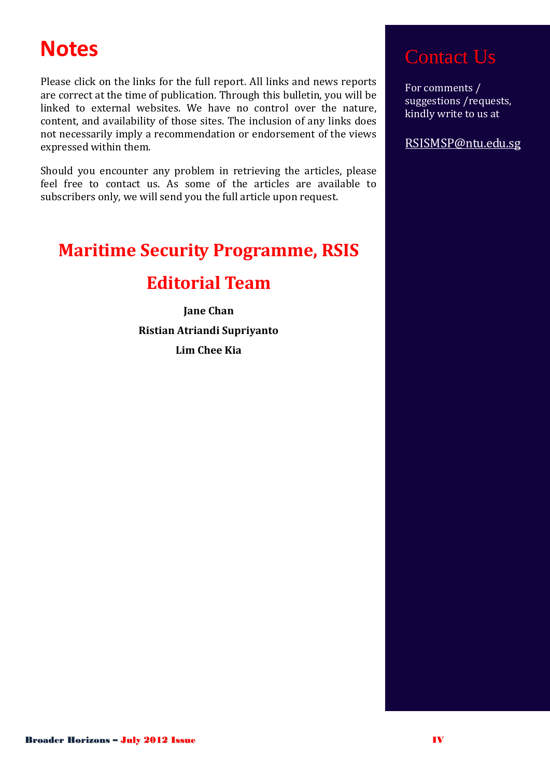## **Notes**

Please click on the links for the full report. All links and news reports are correct at the time of publication. Through this bulletin, you will be linked to external websites. We have no control over the nature, content, and availability of those sites. The inclusion of any links does not necessarily imply a recommendation or endorsement of the views expressed within them.

Should you encounter any problem in retrieving the articles, please feel free to contact us. As some of the articles are available to subscribers only, we will send you the full article upon request.

## **Maritime Security Programme, RSIS**

### **Editorial Team**

**Jane Chan Ristian Atriandi Supriyanto Lim Chee Kia**

## Contact Us

For comments / suggestions /requests, kindly write to us at

RSISMSP@ntu.edu.sg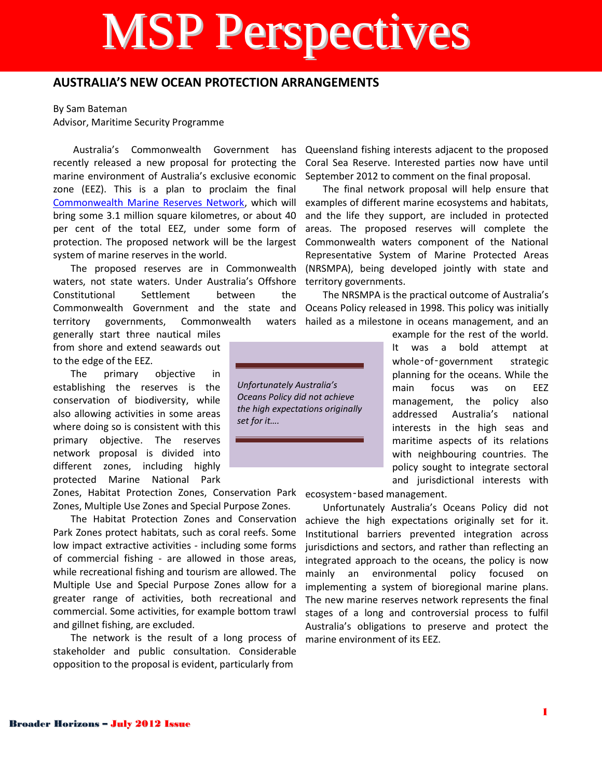# MSP Perspectives

### **AUSTRALIA'S NEW OCEAN PROTECTION ARRANGEMENTS**

<span id="page-4-0"></span>By Sam Bateman Advisor, Maritime Security Programme

Australia's Commonwealth Government has recently released a new proposal for protecting the marine environment of Australia's exclusive economic zone (EEZ). This is a plan to proclaim the final [Commonwealth Marine Reserves Network,](http://www.environment.gov.au/coasts/mbp/reserves/index.html) which will bring some 3.1 million square kilometres, or about 40 per cent of the total EEZ, under some form of protection. The proposed network will be the largest system of marine reserves in the world.

The proposed reserves are in Commonwealth waters, not state waters. Under Australia's Offshore Constitutional Settlement between the Commonwealth Government and the state and territory governments, Commonwealth waters

generally start three nautical miles from shore and extend seawards out to the edge of the EEZ.

The primary objective in establishing the reserves is the conservation of biodiversity, while also allowing activities in some areas where doing so is consistent with this primary objective. The reserves network proposal is divided into different zones, including highly protected Marine National Park

Zones, Habitat Protection Zones, Conservation Park ecosystem‑based management. Zones, Multiple Use Zones and Special Purpose Zones.

The Habitat Protection Zones and Conservation Park Zones protect habitats, such as coral reefs. Some low impact extractive activities - including some forms of commercial fishing - are allowed in those areas, while recreational fishing and tourism are allowed. The Multiple Use and Special Purpose Zones allow for a greater range of activities, both recreational and commercial. Some activities, for example bottom trawl and gillnet fishing, are excluded.

The network is the result of a long process of stakeholder and public consultation. Considerable opposition to the proposal is evident, particularly from

Queensland fishing interests adjacent to the proposed Coral Sea Reserve. Interested parties now have until September 2012 to comment on the final proposal.

The final network proposal will help ensure that examples of different marine ecosystems and habitats, and the life they support, are included in protected areas. The proposed reserves will complete the Commonwealth waters component of the National Representative System of Marine Protected Areas (NRSMPA), being developed jointly with state and territory governments.

The NRSMPA is the practical outcome of Australia's Oceans Policy released in 1998. This policy was initially hailed as a milestone in oceans management, and an

*Unfortunately Australia's Oceans Policy did not achieve the high expectations originally set for it….* 

example for the rest of the world. It was a bold attempt at whole-of-government strategic planning for the oceans. While the main focus was on EEZ management, the policy also addressed Australia's national interests in the high seas and maritime aspects of its relations with neighbouring countries. The policy sought to integrate sectoral and jurisdictional interests with

Unfortunately Australia's Oceans Policy did not achieve the high expectations originally set for it. Institutional barriers prevented integration across jurisdictions and sectors, and rather than reflecting an integrated approach to the oceans, the policy is now mainly an environmental policy focused on implementing a system of bioregional marine plans. The new marine reserves network represents the final stages of a long and controversial process to fulfil Australia's obligations to preserve and protect the marine environment of its EEZ.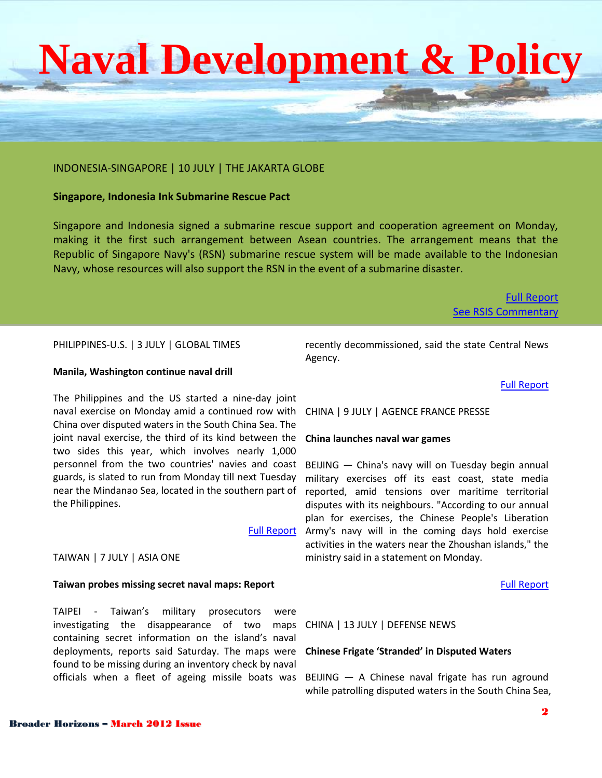#### INDONESIA-SINGAPORE | 10 JULY | THE JAKARTA GLOBE

#### **Singapore, Indonesia Ink Submarine Rescue Pact**

Singapore and Indonesia signed a submarine rescue support and cooperation agreement on Monday, making it the first such arrangement between Asean countries. The arrangement means that the Republic of Singapore Navy's (RSN) submarine rescue system will be made available to the Indonesian Navy, whose resources will also support the RSN in the event of a submarine disaster.

#### [Full Report](http://www.thejakartaglobe.com/international/singapore-indonesia-ink-submarine-rescue-pact/529706) **[See RSIS Commentary](http://www.rsis.edu.sg/publications/Perspective/RSIS1342012.pdf)**

PHILIPPINES-U.S. | 3 JULY | GLOBAL TIMES

#### **Manila, Washington continue naval drill**

The Philippines and the US started a nine-day joint naval exercise on Monday amid a continued row with CHINA | 9 JULY | AGENCE FRANCE PRESSE China over disputed waters in the South China Sea. The joint naval exercise, the third of its kind between the two sides this year, which involves nearly 1,000 personnel from the two countries' navies and coast guards, is slated to run from Monday till next Tuesday near the Mindanao Sea, located in the southern part of the Philippines.

#### [Full Report](http://www.globaltimes.cn/content/718608.shtml)

#### TAIWAN | 7 JULY | ASIA ONE

#### **Taiwan probes missing secret naval maps: Report**

TAIPEI - Taiwan's military prosecutors were investigating the disappearance of two maps containing secret information on the island's naval deployments, reports said Saturday. The maps were found to be missing during an inventory check by naval

recently decommissioned, said the state Central News Agency.

#### [Full Report](http://www.asiaone.com/News/AsiaOne%2BNews/Asia/Story/A1Story20120707-357807.html)

#### **China launches naval war games**

BEIJING — China's navy will on Tuesday begin annual military exercises off its east coast, state media reported, amid tensions over maritime territorial disputes with its neighbours. "According to our annual plan for exercises, the Chinese People's Liberation Army's navy will in the coming days hold exercise activities in the waters near the Zhoushan islands," the ministry said in a statement on Monday.

#### [Full Report](http://www.google.com/hostednews/afp/article/ALeqM5ig2zDD1K_0fh8ZOqgQ8ybl9CxqSQ?docId=CNG.8d78dd611afd203300a6425531f86bba.2c1)

CHINA | 13 JULY | DEFENSE NEWS

#### **Chinese Frigate 'Stranded' in Disputed Waters**

officials when a fleet of ageing missile boats was BEIJING — A Chinese naval frigate has run aground while patrolling disputed waters in the South China Sea,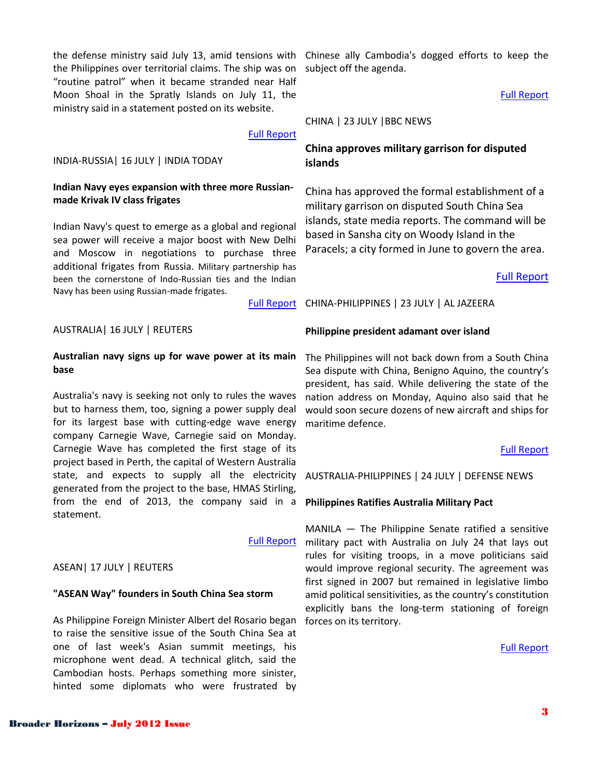the Philippines over territorial claims. The ship was on "routine patrol" when it became stranded near Half Moon Shoal in the Spratly Islands on July 11, the ministry said in a statement posted on its website.

#### INDIA-RUSSIA| 16 JULY | INDIA TODAY

#### **Indian Navy eyes expansion with three more Russianmade Krivak IV class frigates**

Indian Navy's quest to emerge as a global and regional sea power will receive a major boost with New Delhi and Moscow in negotiations to purchase three additional frigates from Russia. Military partnership has been the cornerstone of Indo-Russian ties and the Indian Navy has been using Russian-made frigates.

[Full Report](http://www.defensenews.com/article/20120713/DEFREG03/307130003/Chinese-Frigate-8216-Stranded-8217-Disputed-Waters)

#### AUSTRALIA| 16 JULY | REUTERS

#### **Australian navy signs up for wave power at its main base**

Australia's navy is seeking not only to rules the waves but to harness them, too, signing a power supply deal for its largest base with cutting-edge wave energy company Carnegie Wave, Carnegie said on Monday. Carnegie Wave has completed the first stage of its project based in Perth, the capital of Western Australia state, and expects to supply all the electricity generated from the project to the base, HMAS Stirling, from the end of 2013, the company said in a **Philippines Ratifies Australia Military Pact** statement.

#### ASEAN| 17 JULY | REUTERS

#### **"ASEAN Way" founders in South China Sea storm**

As Philippine Foreign Minister Albert del Rosario began to raise the sensitive issue of the South China Sea at one of last week's Asian summit meetings, his microphone went dead. A technical glitch, said the Cambodian hosts. Perhaps something more sinister, hinted some diplomats who were frustrated by

the defense ministry said July 13, amid tensions with Chinese ally Cambodia's dogged efforts to keep the subject off the agenda.

#### [Full Report](http://www.reuters.com/article/2012/07/17/us-asean-china-idUSBRE86G09N20120717?feedType=RSS&feedName=topNews&rpc=71)

CHINA | 23 JULY |BBC NEWS

### **China approves military garrison for disputed islands**

China has approved the formal establishment of a military garrison on disputed South China Sea islands, state media reports. The command will be based in Sansha city on Woody Island in the Paracels; a city formed in June to govern the area.

#### [Full Report](http://www.bbc.co.uk/news/world-asia-china-18949941)

[Full Report](http://indiatoday.intoday.in/story/indian-navy-eyes-expansion-with-russian-krivak-frigates/1/208434.html) CHINA-PHILIPPINES | 23 JULY | AL JAZEERA

#### **Philippine president adamant over island**

The Philippines will not back down from a South China Sea dispute with China, Benigno Aquino, the country's president, has said. While delivering the state of the nation address on Monday, Aquino also said that he would soon secure dozens of new aircraft and ships for maritime defence.

#### [Full Report](http://www.aljazeera.com/news/asia-pacific/2012/07/2012723143933479449.html)

AUSTRALIA-PHILIPPINES | 24 JULY | DEFENSE NEWS

[Full Report](http://www.reuters.com/article/2012/07/16/australia-navy-waves-idUSL4E8IG1JZ20120716) military pact with Australia on July 24 that lays out MANILA — The Philippine Senate ratified a sensitive rules for visiting troops, in a move politicians said would improve regional security. The agreement was first signed in 2007 but remained in legislative limbo amid political sensitivities, as the country's constitution explicitly bans the long-term stationing of foreign forces on its territory.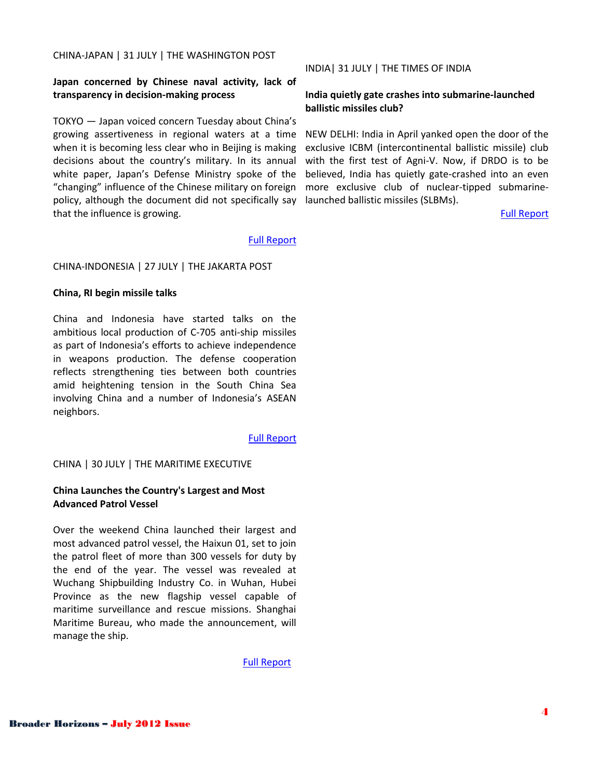#### CHINA-JAPAN | 31 JULY | THE WASHINGTON POST

#### **Japan concerned by Chinese naval activity, lack of transparency in decision-making process**

TOKYO — Japan voiced concern Tuesday about China's growing assertiveness in regional waters at a time when it is becoming less clear who in Beijing is making decisions about the country's military. In its annual white paper, Japan's Defense Ministry spoke of the "changing" influence of the Chinese military on foreign policy, although the document did not specifically say that the influence is growing.

#### INDIA| 31 JULY | THE TIMES OF INDIA

#### **India quietly gate crashes into submarine-launched ballistic missiles club?**

NEW DELHI: India in April yanked open the door of the exclusive ICBM (intercontinental ballistic missile) club with the first test of Agni-V. Now, if DRDO is to be believed, India has quietly gate-crashed into an even more exclusive club of nuclear-tipped submarinelaunched ballistic missiles (SLBMs).

[Full Report](http://articles.timesofindia.indiatimes.com/2012-07-31/india/32960409_1_agni-v-slbms-ins-arihant)

#### [Full Report](http://www.washingtonpost.com/world/asia_pacific/japan-concerned-by-chinese-naval-activity-lack-of-transparency-in-decision-making-process/2012/07/31/gJQAx7VIMX_story.html)

#### CHINA-INDONESIA | 27 JULY | THE JAKARTA POST

#### **China, RI begin missile talks**

China and Indonesia have started talks on the ambitious local production of C-705 anti-ship missiles as part of Indonesia's efforts to achieve independence in weapons production. The defense cooperation reflects strengthening ties between both countries amid heightening tension in the South China Sea involving China and a number of Indonesia's ASEAN neighbors.

[Full Report](http://www.thejakartapost.com/news/2012/07/27/china-ri-begin-missile-talks.html)

#### CHINA | 30 JULY | THE MARITIME EXECUTIVE

#### **China Launches the Country's Largest and Most Advanced Patrol Vessel**

Over the weekend China launched their largest and most advanced patrol vessel, the Haixun 01, set to join the patrol fleet of more than 300 vessels for duty by the end of the year. The vessel was revealed at Wuchang Shipbuilding Industry Co. in Wuhan, Hubei Province as the new flagship vessel capable of maritime surveillance and rescue missions. Shanghai Maritime Bureau, who made the announcement, will manage the ship.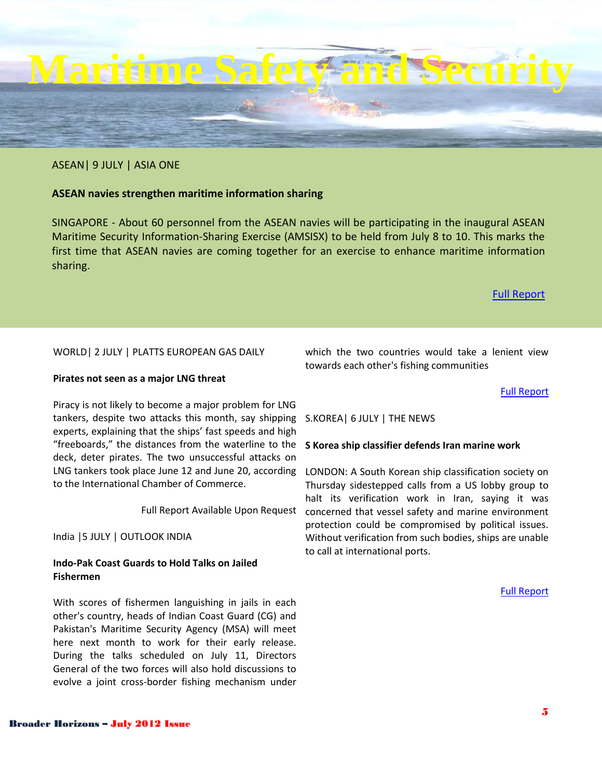## [Full Report](http://www.thenews.com.pk/Todays-News-1-118712-S-Korea-ship-classifier-defends-Iran-marine-work?utm_source=feedburner&utm_medium=feed&utm_campaign=Feed%3A+World-TheNewsInternational+%28World+News+-+The+News+International%29)

### ASEAN| 9 JULY | ASIA ONE

### **ASEAN navies strengthen maritime information sharing**

SINGAPORE - About 60 personnel from the ASEAN navies will be participating in the inaugural ASEAN Maritime Security Information-Sharing Exercise (AMSISX) to be held from July 8 to 10. This marks the first time that ASEAN navies are coming together for an exercise to enhance maritime information sharing.

**Maritime Safety and Security**

### [Full Report](http://news.asiaone.com/News/Latest+News/Singapore/Story/A1Story20120709-358153.html)

### WORLD| 2 JULY | PLATTS EUROPEAN GAS DAILY

#### **Pirates not seen as a major LNG threat**

Piracy is not likely to become a major problem for LNG tankers, despite two attacks this month, say shipping S.KOREA| 6 JULY | THE NEWS experts, explaining that the ships' fast speeds and high "freeboards," the distances from the waterline to the deck, deter pirates. The two unsuccessful attacks on LNG tankers took place June 12 and June 20, according LONDON: A South Korean ship classification society on to the International Chamber of Commerce.

India |5 JULY | OUTLOOK INDIA

#### **Indo-Pak Coast Guards to Hold Talks on Jailed Fishermen**

With scores of fishermen languishing in jails in each other's country, heads of Indian Coast Guard (CG) and Pakistan's Maritime Security Agency (MSA) will meet here next month to work for their early release. During the talks scheduled on July 11, Directors General of the two forces will also hold discussions to evolve a joint cross-border fishing mechanism under

which the two countries would take a lenient view towards each other's fishing communities

[Full Report](http://news.outlookindia.com/items.aspx?artid=767827)

#### **S Korea ship classifier defends Iran marine work**

Full Report Available Upon Request concerned that vessel safety and marine environment Thursday sidestepped calls from a US lobby group to halt its verification work in Iran, saying it was protection could be compromised by political issues. Without verification from such bodies, ships are unable to call at international ports.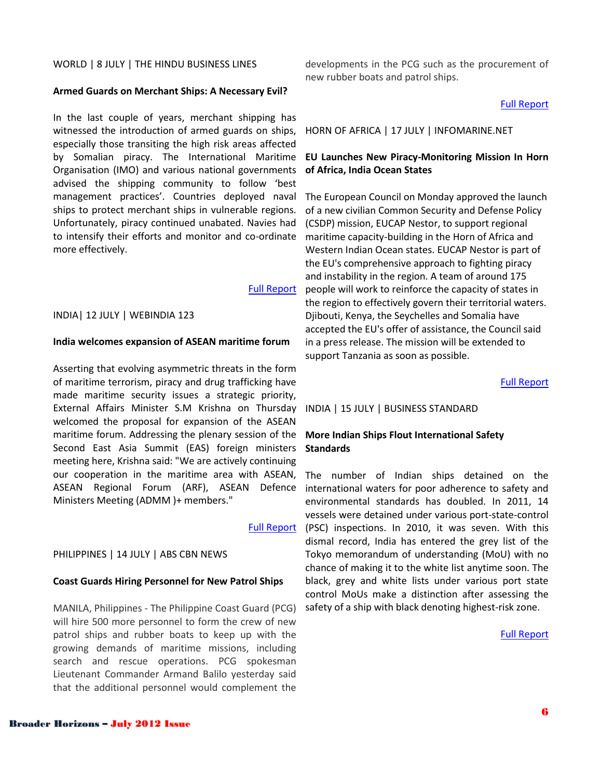#### WORLD | 8 JULY | THE HINDU BUSINESS LINES

#### **Armed Guards on Merchant Ships: A Necessary Evil?**

In the last couple of years, merchant shipping has witnessed the introduction of armed guards on ships, especially those transiting the high risk areas affected by Somalian piracy. The International Maritime Organisation (IMO) and various national governments advised the shipping community to follow 'best management practices'. Countries deployed naval ships to protect merchant ships in vulnerable regions. Unfortunately, piracy continued unabated. Navies had to intensify their efforts and monitor and co-ordinate more effectively.

#### [Full Report](http://www.thehindubusinessline.com/industry-and-economy/logistics/article3616608.ece)

#### INDIA| 12 JULY | WEBINDIA 123

#### **India welcomes expansion of ASEAN maritime forum**

Asserting that evolving asymmetric threats in the form of maritime terrorism, piracy and drug trafficking have made maritime security issues a strategic priority, External Affairs Minister S.M Krishna on Thursday welcomed the proposal for expansion of the ASEAN maritime forum. Addressing the plenary session of the Second East Asia Summit (EAS) foreign ministers meeting here, Krishna said: "We are actively continuing our cooperation in the maritime area with ASEAN, ASEAN Regional Forum (ARF), ASEAN Defence Ministers Meeting (ADMM )+ members."

#### PHILIPPINES | 14 JULY | ABS CBN NEWS

#### **Coast Guards Hiring Personnel for New Patrol Ships**

MANILA, Philippines - The Philippine Coast Guard (PCG) will hire 500 more personnel to form the crew of new patrol ships and rubber boats to keep up with the growing demands of maritime missions, including search and rescue operations. PCG spokesman Lieutenant Commander Armand Balilo yesterday said that the additional personnel would complement the

developments in the PCG such as the procurement of new rubber boats and patrol ships.

#### [Full Report](http://www.abs-cbnnews.com/nation/07/13/12/coast-guard-hiring-personnel-new-patrol-ships)

HORN OF AFRICA | 17 JULY | INFOMARINE.NET

#### **EU Launches New Piracy-Monitoring Mission In Horn of Africa, India Ocean States**

The European Council on Monday approved the launch of a new civilian Common Security and Defense Policy (CSDP) mission, EUCAP Nestor, to support regional maritime capacity-building in the Horn of Africa and Western Indian Ocean states. EUCAP Nestor is part of the EU's comprehensive approach to fighting piracy and instability in the region. A team of around 175 people will work to reinforce the capacity of states in the region to effectively govern their territorial waters. Djibouti, Kenya, the Seychelles and Somalia have accepted the EU's offer of assistance, the Council said in a press release. The mission will be extended to support Tanzania as soon as possible.

[Full Report](http://www.infomarine.net/alerts/maritime-security-alerts/57413-eu-launches-new-piracy-monitoring-mission-in-horn-of-africa-indian-ocean-states.html)

#### INDIA | 15 JULY | BUSINESS STANDARD

#### **More Indian Ships Flout International Safety Standards**

[Full Report](http://news.webindia123.com/news/articles/World/20120712/2021911.html) (PSC) inspections. In 2010, it was seven. With this The number of Indian ships detained on the international waters for poor adherence to safety and environmental standards has doubled. In 2011, 14 vessels were detained under various port-state-control dismal record, India has entered the grey list of the Tokyo memorandum of understanding (MoU) with no chance of making it to the white list anytime soon. The black, grey and white lists under various port state control MoUs make a distinction after assessing the safety of a ship with black denoting highest-risk zone.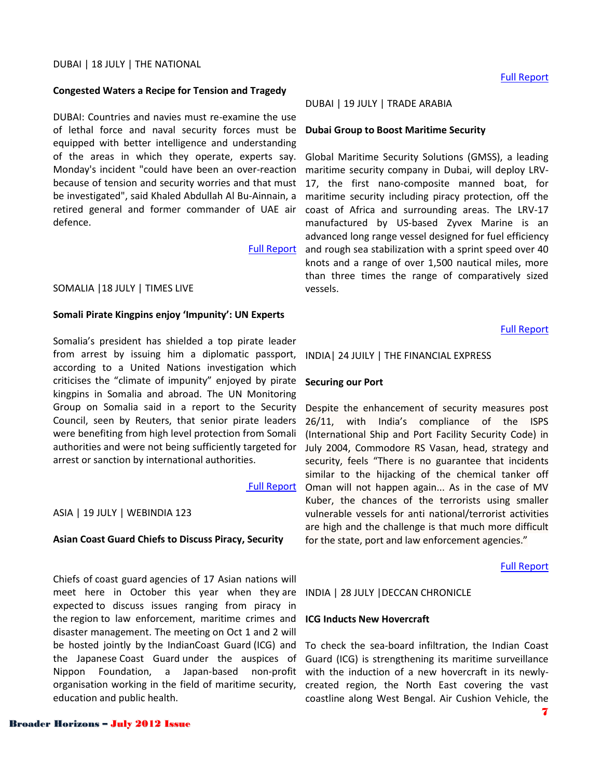#### **Congested Waters a Recipe for Tension and Tragedy**

DUBAI: Countries and navies must re-examine the use of lethal force and naval security forces must be equipped with better intelligence and understanding of the areas in which they operate, experts say. Monday's incident "could have been an over-reaction because of tension and security worries and that must be investigated", said Khaled Abdullah Al Bu-Ainnain, a retired general and former commander of UAE air defence.

#### [Full Report](http://www.thenational.ae/news/uae-news/congested-waters-a-recipe-for-tension-and-tragedy?utm_source=rss&utm_medium=hmp&utm_campaign=feed)

#### SOMALIA |18 JULY | TIMES LIVE

#### **Somali Pirate Kingpins enjoy 'Impunity': UN Experts**

Somalia's president has shielded a top pirate leader from arrest by issuing him a diplomatic passport, according to a United Nations investigation which criticises the "climate of impunity" enjoyed by pirate kingpins in Somalia and abroad. The UN Monitoring Group on Somalia said in a report to the Security Council, seen by Reuters, that senior pirate leaders were benefiting from high level protection from Somali authorities and were not being sufficiently targeted for arrest or sanction by international authorities.

#### [Full Report](http://www.timeslive.co.za/africa/2012/07/18/somali-pirate-kingpins-enjoy-impunity-un-experts)

#### ASIA | 19 JULY | WEBINDIA 123

#### **Asian Coast Guard Chiefs to Discuss Piracy, Security**

Chiefs of coast guard agencies of 17 Asian nations will meet here in October this year when they are expected to discuss issues ranging from piracy in the region to law enforcement, maritime crimes and disaster management. The meeting on Oct 1 and 2 will be hosted jointly by the IndianCoast Guard (ICG) and the Japanese Coast Guard under the auspices of Guard (ICG) is strengthening its maritime surveillance Nippon Foundation, a Japan-based non-profit with the induction of a new hovercraft in its newlyorganisation working in the field of maritime security, education and public health.

#### DUBAI | 19 JULY | TRADE ARABIA

#### **Dubai Group to Boost Maritime Security**

Global Maritime Security Solutions (GMSS), a leading maritime security company in Dubai, will deploy LRV-17, the first nano-composite manned boat, for maritime security including piracy protection, off the coast of Africa and surrounding areas. The LRV-17 manufactured by US-based Zyvex Marine is an advanced long range vessel designed for fuel efficiency and rough sea stabilization with a sprint speed over 40 knots and a range of over 1,500 nautical miles, more than three times the range of comparatively sized vessels.

[Full Report](http://www.tradearabia.com/news/STN_220693.html)

#### INDIA| 24 JUILY | THE FINANCIAL EXPRESS

#### **Securing our Port**

Despite the enhancement of security measures post 26/11, with India's compliance of the ISPS (International Ship and Port Facility Security Code) in July 2004, Commodore RS Vasan, head, strategy and security, feels "There is no guarantee that incidents similar to the hijacking of the chemical tanker off Oman will not happen again... As in the case of MV Kuber, the chances of the terrorists using smaller vulnerable vessels for anti national/terrorist activities are high and the challenge is that much more difficult for the state, port and law enforcement agencies."

[Full Report](http://www.financialexpress.com/news/securing-our-ports/978421/2)

INDIA | 28 JULY |DECCAN CHRONICLE

#### **ICG Inducts New Hovercraft**

To check the sea-board infiltration, the Indian Coast created region, the North East covering the vast coastline along West Bengal. Air Cushion Vehicle, the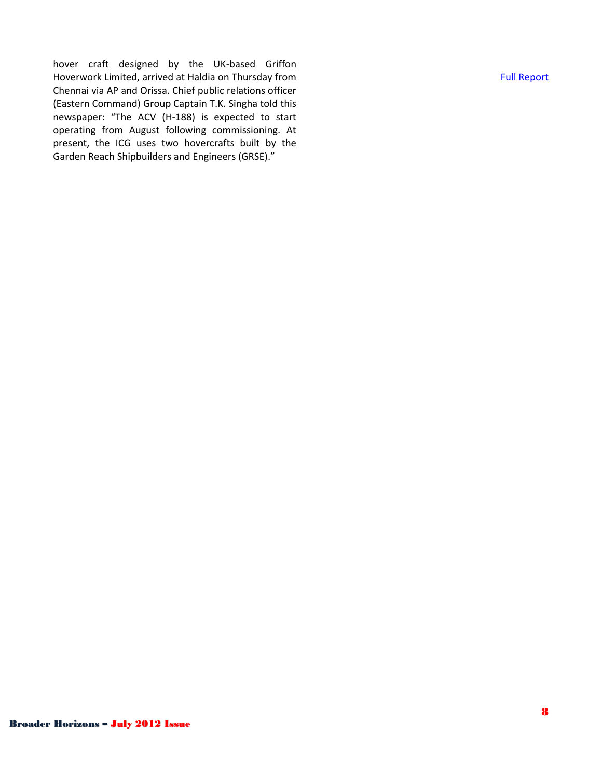hover craft designed by the UK-based Griffon Hoverwork Limited, arrived at Haldia on Thursday from Chennai via AP and Orissa. Chief public relations officer (Eastern Command) Group Captain T.K. Singha told this newspaper: "The ACV (H-188) is expected to start operating from August following commissioning. At present, the ICG uses two hovercrafts built by the Garden Reach Shipbuilders and Engineers (GRSE)."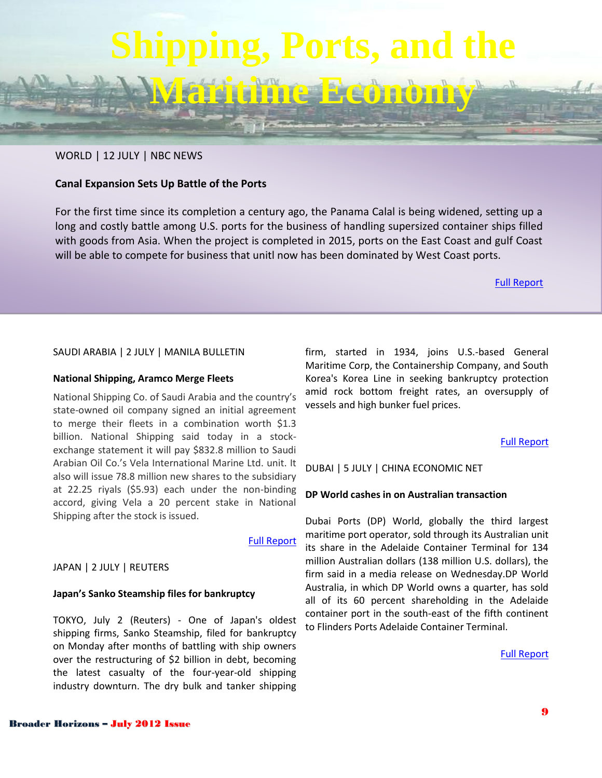# **Shipping, Ports, and the**

**Maritime Economy**

#### WORLD | 12 JULY | NBC NEWS

#### **Canal Expansion Sets Up Battle of the Ports**

For the first time since its completion a century ago, the Panama Calal is being widened, setting up a long and costly battle among U.S. ports for the business of handling supersized container ships filled with goods from Asia. When the project is completed in 2015, ports on the East Coast and gulf Coast will be able to compete for business that unitl now has been dominated by West Coast ports.

[Full Report](http://bottomline.nbcnews.com/_news/2012/07/12/12647772-canal-expansion-sets-up-battle-of-the-ports?lite)

#### SAUDI ARABIA | 2 JULY | MANILA BULLETIN

#### **National Shipping, Aramco Merge Fleets**

National Shipping Co. of Saudi Arabia and the country's state-owned oil company signed an initial agreement to merge their fleets in a combination worth \$1.3 billion. National Shipping said today in a stockexchange statement it will pay \$832.8 million to Saudi Arabian Oil Co.'s Vela International Marine Ltd. unit. It also will issue 78.8 million new shares to the subsidiary at 22.25 riyals (\$5.93) each under the non-binding accord, giving Vela a 20 percent stake in National Shipping after the stock is issued.

#### [Full Report](http://www.mb.com.ph/articles/364233/national-shipping-aramco-merge-fleets)

#### JAPAN | 2 JULY | REUTERS

#### **Japan's Sanko Steamship files for bankruptcy**

TOKYO, July 2 (Reuters) - One of Japan's oldest shipping firms, Sanko Steamship, filed for bankruptcy on Monday after months of battling with ship owners over the restructuring of \$2 billion in debt, becoming the latest casualty of the four-year-old shipping industry downturn. The dry bulk and tanker shipping

firm, started in 1934, joins U.S.-based General Maritime Corp, the Containership Company, and South Korea's Korea Line in seeking bankruptcy protection amid rock bottom freight rates, an oversupply of vessels and high bunker fuel prices.

#### [Full Report](http://www.reuters.com/article/2012/07/02/shipping-sankosteamship-idUSL3E8I22FB20120702?feedType=RSS&feedName=financialsSector)

DUBAI | 5 JULY | CHINA ECONOMIC NET

#### **DP World cashes in on Australian transaction**

Dubai Ports (DP) World, globally the third largest maritime port operator, sold through its Australian unit its share in the Adelaide Container Terminal for 134 million Australian dollars (138 million U.S. dollars), the firm said in a media release on Wednesday.DP World Australia, in which DP World owns a quarter, has sold all of its 60 percent shareholding in the Adelaide container port in the south-east of the fifth continent to Flinders Ports Adelaide Container Terminal.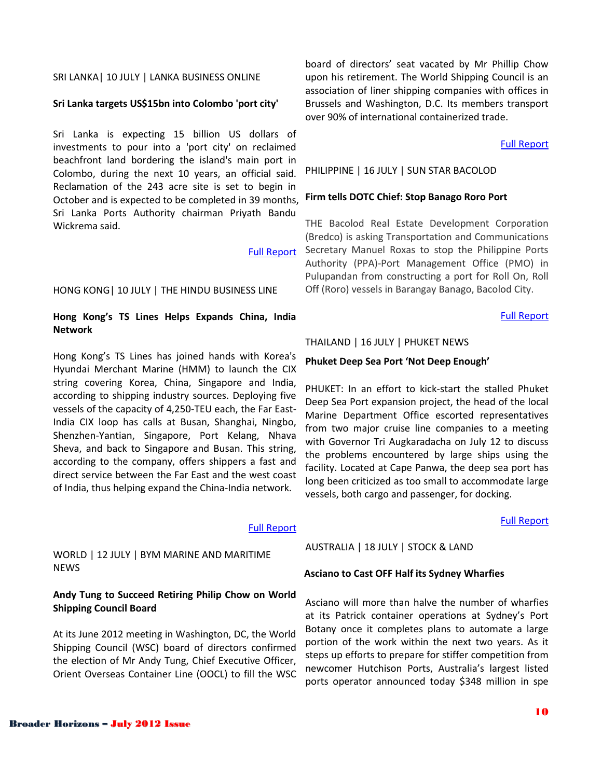#### SRI LANKA| 10 JULY | LANKA BUSINESS ONLINE

#### **Sri Lanka targets US\$15bn into Colombo 'port city'**

Sri Lanka is expecting 15 billion US dollars of investments to pour into a 'port city' on reclaimed beachfront land bordering the island's main port in Colombo, during the next 10 years, an official said. Reclamation of the 243 acre site is set to begin in October and is expected to be completed in 39 months, Sri Lanka Ports Authority chairman Priyath Bandu Wickrema said.

#### [Full Report](http://www.lankabusinessonline.com/fullstory.php?nid=1998232259)

#### HONG KONG| 10 JULY | THE HINDU BUSINESS LINE

#### **Hong Kong's TS Lines Helps Expands China, India Network**

Hong Kong's TS Lines has joined hands with Korea's Hyundai Merchant Marine (HMM) to launch the CIX string covering Korea, China, Singapore and India, according to shipping industry sources. Deploying five vessels of the capacity of 4,250-TEU each, the Far East-India CIX loop has calls at Busan, Shanghai, Ningbo, Shenzhen-Yantian, Singapore, Port Kelang, Nhava Sheva, and back to Singapore and Busan. This string, according to the company, offers shippers a fast and direct service between the Far East and the west coast of India, thus helping expand the China-India network.

[Full Report](http://www.thehindubusinessline.com/industry-and-economy/logistics/article3624425.ece)

WORLD | 12 JULY | BYM MARINE AND MARITIME NEWS

#### **Andy Tung to Succeed Retiring Philip Chow on World Shipping Council Board**

At its June 2012 meeting in Washington, DC, the World Shipping Council (WSC) board of directors confirmed the election of Mr Andy Tung, Chief Executive Officer, Orient Overseas Container Line (OOCL) to fill the WSC

board of directors' seat vacated by Mr Phillip Chow upon his retirement. The World Shipping Council is an association of liner shipping companies with offices in Brussels and Washington, D.C. Its members transport over 90% of international containerized trade.

#### [Full Report](http://www.bymnews.com/news/newsDetails.php?id=105877)

#### PHILIPPINE | 16 JULY | SUN STAR BACOLOD

#### **Firm tells DOTC Chief: Stop Banago Roro Port**

THE Bacolod Real Estate Development Corporation (Bredco) is asking Transportation and Communications Secretary Manuel Roxas to stop the Philippine Ports Authority (PPA)-Port Management Office (PMO) in Pulupandan from constructing a port for Roll On, Roll Off (Roro) vessels in Barangay Banago, Bacolod City.

#### [Full Report](http://www.sunstar.com.ph/bacolod/local-news/2012/07/16/firm-tells-dotc-chief-stop-banago-roro-port-232253)

#### THAILAND | 16 JULY | PHUKET NEWS

#### **Phuket Deep Sea Port 'Not Deep Enough'**

PHUKET: In an effort to kick-start the stalled Phuket Deep Sea Port expansion project, the head of the local Marine Department Office escorted representatives from two major cruise line companies to a meeting with Governor Tri Augkaradacha on July 12 to discuss the problems encountered by large ships using the facility. Located at Cape Panwa, the deep sea port has long been criticized as too small to accommodate large vessels, both cargo and passenger, for docking.

#### [Full Report](http://www.phuketgazette.net/archives/articles/2012/article16428.html)

#### AUSTRALIA | 18 JULY | STOCK & LAND

#### **Asciano to Cast OFF Half its Sydney Wharfies**

Asciano will more than halve the number of wharfies at its Patrick container operations at Sydney's Port Botany once it completes plans to automate a large portion of the work within the next two years. As it steps up efforts to prepare for stiffer competition from newcomer Hutchison Ports, Australia's largest listed ports operator announced today \$348 million in spe